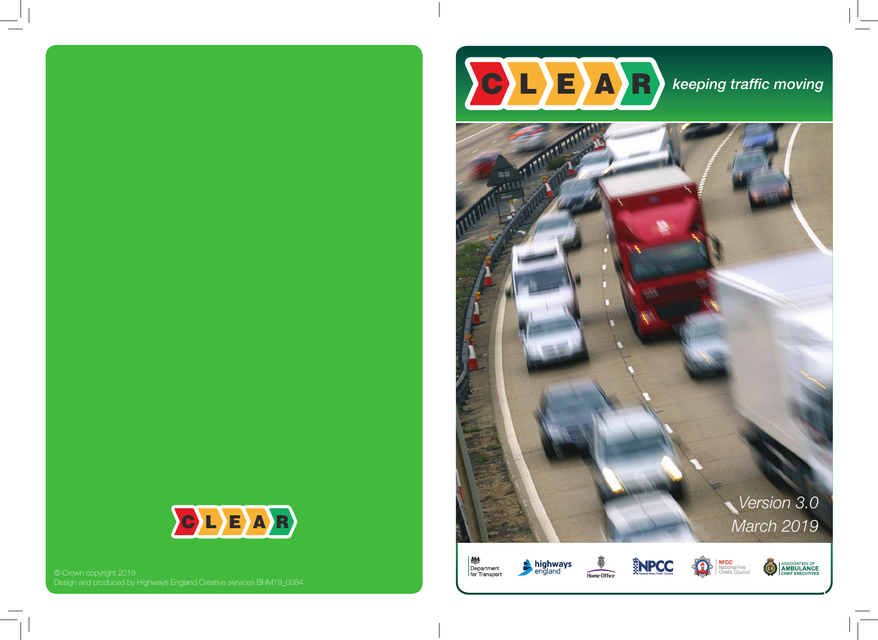



© Crown copyright 2019 Design and produced by Highways England Creative services BHM19\_0084

12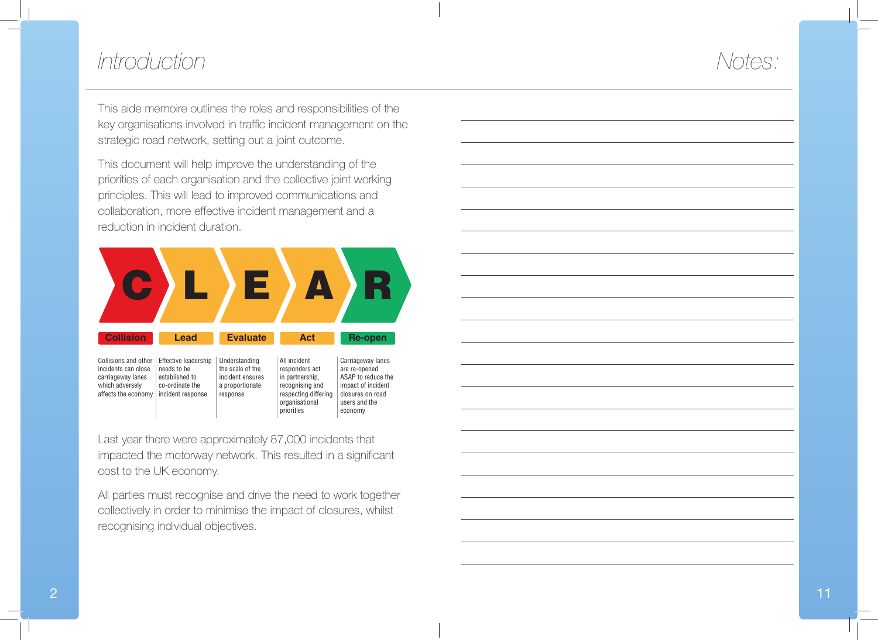### *Introduction*

## *Notes:*

This aide memoire outlines the roles and responsibilities of the key organisations involved in traffic incident management on the strategic road network, setting out a joint outcome.

This document will help improve the understanding of the priorities of each organisation and the collective joint working principles. This will lead to improved communications and collaboration, more effective incident management and a reduction in incident duration.



Last year there were approximately 87,000 incidents that impacted the motorway network. This resulted in a significant cost to the UK economy.

All parties must recognise and drive the need to work together collectively in order to minimise the impact of closures, whilst recognising individual objectives.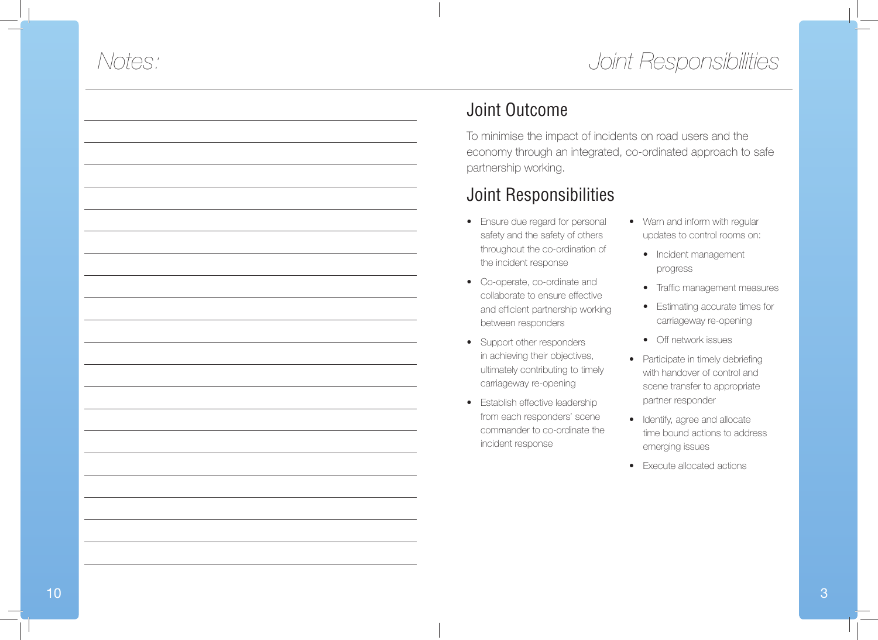# *Joint Responsibilities*

# *Notes:*



To minimise the impact of incidents on road users and the economy through an integrated, co-ordinated approach to safe partnership working.

### Joint Responsibilities

- Ensure due regard for personal safety and the safety of others throughout the co-ordination of the incident response
- Co-operate, co-ordinate and collaborate to ensure effective and efficient partnership working between responders
- Support other responders in achieving their objectives, ultimately contributing to timely carriageway re-opening
- Establish effective leadership from each responders' scene commander to co-ordinate the incident response
- Warn and inform with regular updates to control rooms on:
	- Incident management progress
	- Traffic management measures
	- Estimating accurate times for carriageway re-opening
	- Off network issues
- Participate in timely debriefing with handover of control and scene transfer to appropriate partner responder
- Identify, agree and allocate time bound actions to address emerging issues
- Execute allocated actions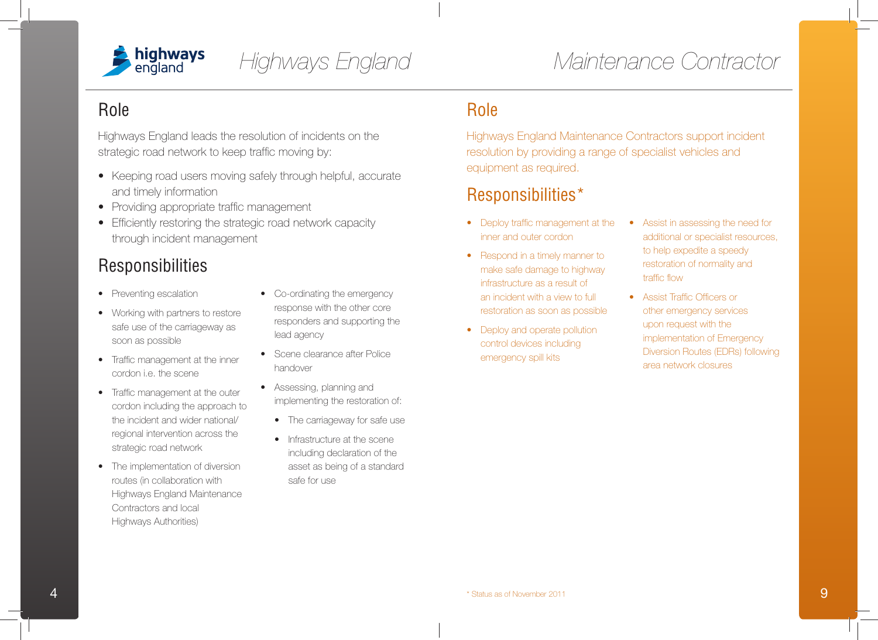

*Highways England*

### Role

Highways England leads the resolution of incidents on the strategic road network to keep traffic moving by:

- Keeping road users moving safely through helpful, accurate and timely information
- Providing appropriate traffic management
- Efficiently restoring the strategic road network capacity through incident management

### **Responsibilities**

- Preventing escalation
- Working with partners to restore safe use of the carriageway as soon as possible
- Traffic management at the inner cordon i.e. the scene
- Traffic management at the outer cordon including the approach to the incident and wider national/ regional intervention across the strategic road network
- The implementation of diversion routes (in collaboration with Highways England Maintenance Contractors and local Highways Authorities)
- Co-ordinating the emergency response with the other core responders and supporting the lead agency
- Scene clearance after Police handover
- Assessing, planning and implementing the restoration of:
	- The carriageway for safe use
	- Infrastructure at the scene including declaration of the asset as being of a standard safe for use

#### Role

Highways England Maintenance Contractors support incident resolution by providing a range of specialist vehicles and equipment as required.

### Responsibilities\*

- Deploy traffic management at the inner and outer cordon
- Respond in a timely manner to make safe damage to highway infrastructure as a result of an incident with a view to full restoration as soon as possible
- Deploy and operate pollution control devices including emergency spill kits
- Assist in assessing the need for additional or specialist resources, to help expedite a speedy restoration of normality and traffic flow
- Assist Traffic Officers or other emergency services upon request with the implementation of Emergency Diversion Routes (EDRs) following area network closures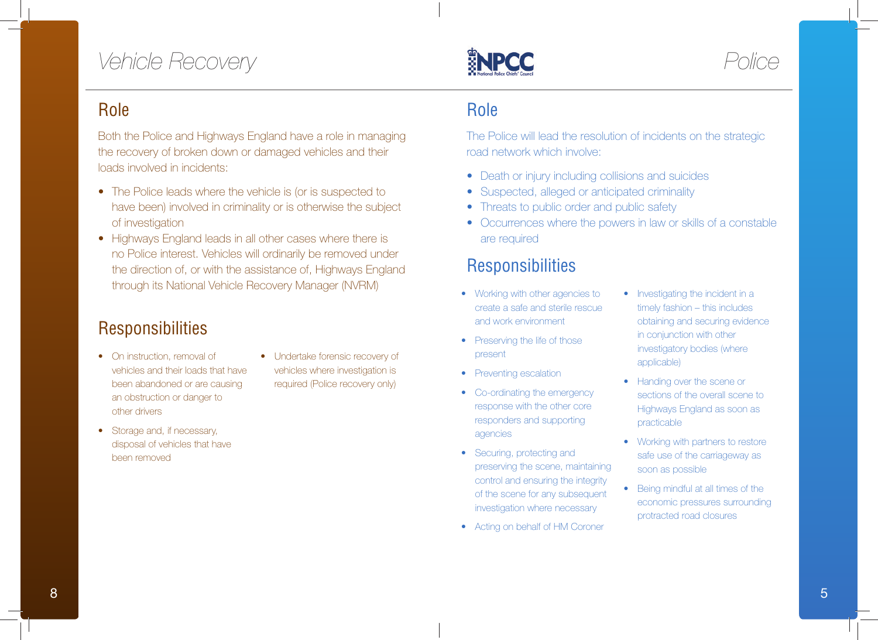# *Vehicle Recovery*

### Role

Both the Police and Highways England have a role in managing the recovery of broken down or damaged vehicles and their loads involved in incidents:

- The Police leads where the vehicle is (or is suspected to have been) involved in criminality or is otherwise the subject of investigation
- Highways England leads in all other cases where there is no Police interest. Vehicles will ordinarily be removed under the direction of, or with the assistance of, Highways England through its National Vehicle Recovery Manager (NVRM)

### **Responsibilities**

- On instruction, removal of vehicles and their loads that have been abandoned or are causing an obstruction or danger to other drivers
- Undertake forensic recovery of vehicles where investigation is required (Police recovery only)
- Storage and, if necessary, disposal of vehicles that have been removed

### Role

**ENPCC** 

The Police will lead the resolution of incidents on the strategic road network which involve:

- Death or injury including collisions and suicides
- Suspected, alleged or anticipated criminality
- Threats to public order and public safety
- Occurrences where the powers in law or skills of a constable are required

### **Responsibilities**

- Working with other agencies to create a safe and sterile rescue and work environment
- Preserving the life of those present
- Preventing escalation
- Co-ordinating the emergency response with the other core responders and supporting agencies
- Securing, protecting and preserving the scene, maintaining control and ensuring the integrity of the scene for any subsequent investigation where necessary
- Acting on behalf of HM Coroner

• Investigating the incident in a timely fashion – this includes obtaining and securing evidence in conjunction with other investigatory bodies (where applicable)

*Police*

- Handing over the scene or sections of the overall scene to Highways England as soon as practicable
- Working with partners to restore safe use of the carriageway as soon as possible
- Being mindful at all times of the economic pressures surrounding protracted road closures